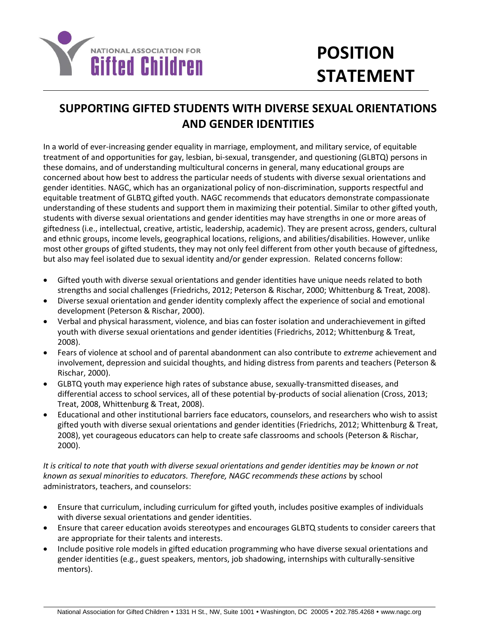

## **SUPPORTING GIFTED STUDENTS WITH DIVERSE SEXUAL ORIENTATIONS AND GENDER IDENTITIES**

In a world of ever-increasing gender equality in marriage, employment, and military service, of equitable treatment of and opportunities for gay, lesbian, bi-sexual, transgender, and questioning (GLBTQ) persons in these domains, and of understanding multicultural concerns in general, many educational groups are concerned about how best to address the particular needs of students with diverse sexual orientations and gender identities. NAGC, which has an organizational policy of non-discrimination, supports respectful and equitable treatment of GLBTQ gifted youth. NAGC recommends that educators demonstrate compassionate understanding of these students and support them in maximizing their potential. Similar to other gifted youth, students with diverse sexual orientations and gender identities may have strengths in one or more areas of giftedness (i.e., intellectual, creative, artistic, leadership, academic). They are present across, genders, cultural and ethnic groups, income levels, geographical locations, religions, and abilities/disabilities. However, unlike most other groups of gifted students, they may not only feel different from other youth because of giftedness, but also may feel isolated due to sexual identity and/or gender expression. Related concerns follow:

- Gifted youth with diverse sexual orientations and gender identities have unique needs related to both strengths and social challenges (Friedrichs, 2012; Peterson & Rischar, 2000; Whittenburg & Treat, 2008).
- Diverse sexual orientation and gender identity complexly affect the experience of social and emotional development (Peterson & Rischar, 2000).
- Verbal and physical harassment, violence, and bias can foster isolation and underachievement in gifted youth with diverse sexual orientations and gender identities (Friedrichs, 2012; Whittenburg & Treat, 2008).
- Fears of violence at school and of parental abandonment can also contribute to *extreme* achievement and involvement, depression and suicidal thoughts, and hiding distress from parents and teachers (Peterson & Rischar, 2000).
- GLBTQ youth may experience high rates of substance abuse, sexually-transmitted diseases, and differential access to school services, all of these potential by-products of social alienation (Cross, 2013; Treat, 2008, Whittenburg & Treat, 2008).
- Educational and other institutional barriers face educators, counselors, and researchers who wish to assist gifted youth with diverse sexual orientations and gender identities (Friedrichs, 2012; Whittenburg & Treat, 2008), yet courageous educators can help to create safe classrooms and schools (Peterson & Rischar, 2000).

*It is critical to note that youth with diverse sexual orientations and gender identities may be known or not known as sexual minorities to educators. Therefore, NAGC recommends these actions* by school administrators, teachers, and counselors:

- Ensure that curriculum, including curriculum for gifted youth, includes positive examples of individuals with diverse sexual orientations and gender identities.
- Ensure that career education avoids stereotypes and encourages GLBTQ students to consider careers that are appropriate for their talents and interests.
- Include positive role models in gifted education programming who have diverse sexual orientations and gender identities (e.g., guest speakers, mentors, job shadowing, internships with culturally-sensitive mentors).